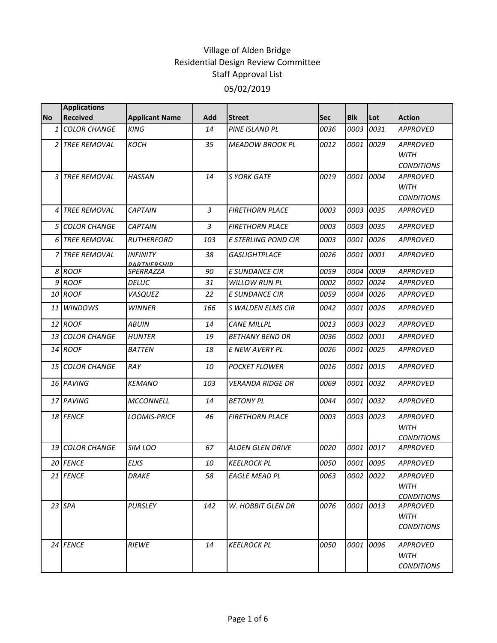|           | <b>Applications</b>    |                                       |     |                         |            |            |           |                                                     |
|-----------|------------------------|---------------------------------------|-----|-------------------------|------------|------------|-----------|-----------------------------------------------------|
| <b>No</b> | <b>Received</b>        | <b>Applicant Name</b>                 | Add | <b>Street</b>           | <b>Sec</b> | <b>Blk</b> | Lot       | <b>Action</b>                                       |
| 1         | <b>COLOR CHANGE</b>    | <b>KING</b>                           | 14  | PINE ISLAND PL          | 0036       | 0003       | 0031      | <b>APPROVED</b>                                     |
| 2 I       | <b>TREE REMOVAL</b>    | <b>KOCH</b>                           | 35  | <b>MEADOW BROOK PL</b>  | 0012       | 0001       | 0029      | <b>APPROVED</b><br><b>WITH</b><br><b>CONDITIONS</b> |
|           | 3 TREE REMOVAL         | <b>HASSAN</b>                         | 14  | <b>S YORK GATE</b>      | 0019       | 0001       | 0004      | <b>APPROVED</b><br><b>WITH</b><br><b>CONDITIONS</b> |
| 4         | <b>TREE REMOVAL</b>    | <b>CAPTAIN</b>                        | 3   | <b>FIRETHORN PLACE</b>  | 0003       | 0003       | 0035      | <b>APPROVED</b>                                     |
| 5         | <b>COLOR CHANGE</b>    | <b>CAPTAIN</b>                        | 3   | <b>FIRETHORN PLACE</b>  | 0003       | 0003       | 0035      | <b>APPROVED</b>                                     |
|           | 6 TREE REMOVAL         | <b>RUTHERFORD</b>                     | 103 | E STERLING POND CIR     | 0003       | 0001       | 0026      | <b>APPROVED</b>                                     |
|           | 7 TREE REMOVAL         | <b>INFINITY</b><br><b>DARTNERSHID</b> | 38  | <b>GASLIGHTPLACE</b>    | 0026       | 0001       | 0001      | <b>APPROVED</b>                                     |
|           | 8 ROOF                 | SPERRAZZA                             | 90  | <b>E SUNDANCE CIR</b>   | 0059       | 0004       | 0009      | <b>APPROVED</b>                                     |
|           | 9 ROOF                 | <b>DELUC</b>                          | 31  | <b>WILLOW RUN PL</b>    | 0002       | 0002       | 0024      | <b>APPROVED</b>                                     |
|           | 10 ROOF                | VASQUEZ                               | 22  | E SUNDANCE CIR          | 0059       | 0004       | 0026      | <b>APPROVED</b>                                     |
|           | 11 WINDOWS             | <b>WINNER</b>                         | 166 | S WALDEN ELMS CIR       | 0042       | 0001       | 0026      | <b>APPROVED</b>                                     |
|           | 12 ROOF                | <b>ABUIN</b>                          | 14  | <b>CANE MILLPL</b>      | 0013       | 0003       | 0023      | <b>APPROVED</b>                                     |
|           | 13 COLOR CHANGE        | <b>HUNTER</b>                         | 19  | <b>BETHANY BEND DR</b>  | 0036       | 0002       | 0001      | <b>APPROVED</b>                                     |
|           | 14 ROOF                | <b>BATTEN</b>                         | 18  | E NEW AVERY PL          | 0026       | 0001       | 0025      | <b>APPROVED</b>                                     |
|           | <b>15 COLOR CHANGE</b> | RAY                                   | 10  | <b>POCKET FLOWER</b>    | 0016       | 0001       | 0015      | <b>APPROVED</b>                                     |
|           | 16 PAVING              | <b>KEMANO</b>                         | 103 | <b>VERANDA RIDGE DR</b> | 0069       | 0001       | 0032      | <b>APPROVED</b>                                     |
|           | 17 PAVING              | <b>MCCONNELL</b>                      | 14  | <b>BETONY PL</b>        | 0044       | 0001       | 0032      | <b>APPROVED</b>                                     |
|           | 18 FENCE               | LOOMIS-PRICE                          | 46  | <b>FIRETHORN PLACE</b>  | 0003       | 0003       | 0023      | APPROVED<br><b>WITH</b><br><b>CONDITIONS</b>        |
|           | 19 COLOR CHANGE        | SIM LOO                               | 67  | <b>ALDEN GLEN DRIVE</b> | 0020       | 0001       | 0017      | <b>APPROVED</b>                                     |
|           | 20 FENCE               | <b>ELKS</b>                           | 10  | <b>KEELROCK PL</b>      | 0050       |            | 0001 0095 | <b>APPROVED</b>                                     |
|           | 21 FENCE               | <b>DRAKE</b>                          | 58  | <b>EAGLE MEAD PL</b>    | 0063       | 0002       | 0022      | <b>APPROVED</b><br><b>WITH</b><br><b>CONDITIONS</b> |
|           | 23 SPA                 | <b>PURSLEY</b>                        | 142 | W. HOBBIT GLEN DR       | 0076       | 0001       | 0013      | <b>APPROVED</b><br><b>WITH</b><br><b>CONDITIONS</b> |
|           | 24 FENCE               | <b>RIEWE</b>                          | 14  | <b>KEELROCK PL</b>      | 0050       | 0001       | 0096      | <b>APPROVED</b><br><b>WITH</b><br><b>CONDITIONS</b> |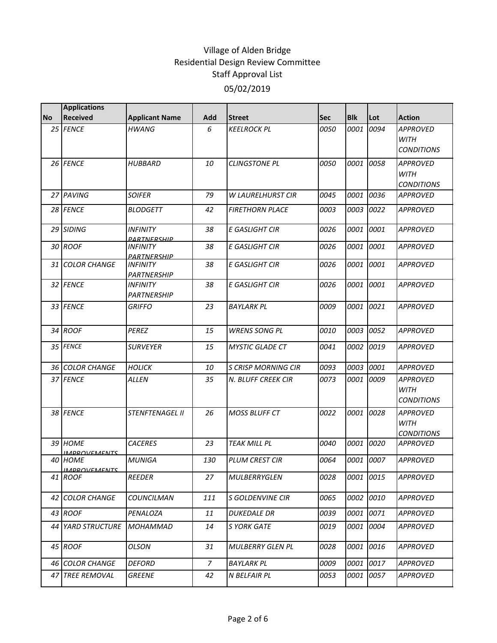|           | <b>Applications</b>            |                                              |     |                            |            |            |           |                                                     |
|-----------|--------------------------------|----------------------------------------------|-----|----------------------------|------------|------------|-----------|-----------------------------------------------------|
| <b>No</b> | Received                       | <b>Applicant Name</b>                        | Add | <b>Street</b>              | <b>Sec</b> | <b>Blk</b> | Lot       | <b>Action</b>                                       |
|           | 25 FENCE                       | <b>HWANG</b>                                 | 6   | <b>KEELROCK PL</b>         | 0050       | 0001       | 0094      | <b>APPROVED</b><br><b>WITH</b><br><b>CONDITIONS</b> |
|           | 26 FENCE                       | <i><b>HUBBARD</b></i>                        | 10  | <b>CLINGSTONE PL</b>       | 0050       | 0001       | 0058      | <b>APPROVED</b><br><b>WITH</b><br><b>CONDITIONS</b> |
|           | 27 PAVING                      | <b>SOIFER</b>                                | 79  | <b>W LAURELHURST CIR</b>   | 0045       | 0001       | 0036      | <b>APPROVED</b>                                     |
|           | 28 FENCE                       | <b>BLODGETT</b>                              | 42  | <b>FIRETHORN PLACE</b>     | 0003       | 0003       | 0022      | <b>APPROVED</b>                                     |
|           | 29 SIDING                      | <b>INFINITY</b><br><b>PARTNERSHIP</b>        | 38  | <b>E GASLIGHT CIR</b>      | 0026       | 0001       | 0001      | <b>APPROVED</b>                                     |
|           | 30 ROOF                        | <b>INFINITY</b><br><b>PARTNERSHIP</b>        | 38  | E GASLIGHT CIR             | 0026       | 0001       | 0001      | <b>APPROVED</b>                                     |
|           | <b>31 COLOR CHANGE</b>         | <i><b>INFINITY</b></i><br>PARTNERSHIP        | 38  | <b>E GASLIGHT CIR</b>      | 0026       | 0001       | 0001      | <b>APPROVED</b>                                     |
|           | 32 FENCE                       | <i><b>INFINITY</b></i><br><b>PARTNERSHIP</b> | 38  | <b>E GASLIGHT CIR</b>      | 0026       | 0001       | 0001      | <b>APPROVED</b>                                     |
|           | 33 FENCE                       | <b>GRIFFO</b>                                | 23  | <b>BAYLARK PL</b>          | 0009       | 0001       | 0021      | <b>APPROVED</b>                                     |
|           | 34 ROOF                        | <b>PEREZ</b>                                 | 15  | <b>WRENS SONG PL</b>       | 0010       | 0003       | 0052      | <b>APPROVED</b>                                     |
|           | 35 FENCE                       | <b>SURVEYER</b>                              | 15  | <b>MYSTIC GLADE CT</b>     | 0041       | 0002       | 0019      | <b>APPROVED</b>                                     |
|           | <b>36 COLOR CHANGE</b>         | <b>HOLICK</b>                                | 10  | <b>S CRISP MORNING CIR</b> | 0093       | 0003       | 0001      | <b>APPROVED</b>                                     |
|           | 37 FENCE                       | <b>ALLEN</b>                                 | 35  | N. BLUFF CREEK CIR         | 0073       | 0001       | 0009      | <b>APPROVED</b><br><b>WITH</b><br><b>CONDITIONS</b> |
|           | 38 FENCE                       | <b>STENFTENAGEL II</b>                       | 26  | <b>MOSS BLUFF CT</b>       | 0022       | 0001       | 0028      | APPROVED<br><b>WITH</b><br><b>CONDITIONS</b>        |
|           | 39 HOME<br><b>IMPROVEMENTS</b> | <b>CACERES</b>                               | 23  | <b>TEAK MILL PL</b>        | 0040       | 0001       | 0020      | <b>APPROVED</b>                                     |
|           | 40 HOME<br><u>IMPROVEMENTS</u> | <b>MUNIGA</b>                                | 130 | <b>PLUM CREST CIR</b>      | 0064       | 0001       | 0007      | <b>APPROVED</b>                                     |
|           | 41 ROOF                        | <b>REEDER</b>                                | 27  | <b>MULBERRYGLEN</b>        | 0028       |            | 0001 0015 | <b>APPROVED</b>                                     |
|           | 42 COLOR CHANGE                | COUNCILMAN                                   | 111 | S GOLDENVINE CIR           | 0065       |            | 0002 0010 | <b>APPROVED</b>                                     |
|           | 43 ROOF                        | PENALOZA                                     | 11  | <b>DUKEDALE DR</b>         | 0039       | 0001       | 0071      | <b>APPROVED</b>                                     |
|           | 44 YARD STRUCTURE              | <b>MOHAMMAD</b>                              | 14  | S YORK GATE                | 0019       | 0001       | 0004      | <b>APPROVED</b>                                     |
|           | 45 ROOF                        | <b>OLSON</b>                                 | 31  | <b>MULBERRY GLEN PL</b>    | 0028       |            | 0001 0016 | <b>APPROVED</b>                                     |
|           | 46 COLOR CHANGE                | <b>DEFORD</b>                                | 7   | <b>BAYLARK PL</b>          | 0009       | 0001       | 0017      | <b>APPROVED</b>                                     |
|           | 47 TREE REMOVAL                | <b>GREENE</b>                                | 42  | N BELFAIR PL               | 0053       |            | 0001 0057 | <b>APPROVED</b>                                     |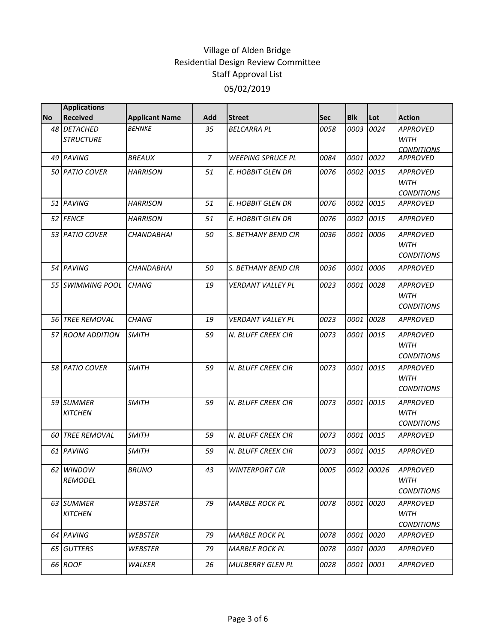|           | <b>Applications</b>     |                       |                |                          |            |            |           |                     |
|-----------|-------------------------|-----------------------|----------------|--------------------------|------------|------------|-----------|---------------------|
| <b>No</b> | <b>Received</b>         | <b>Applicant Name</b> | Add            | <b>Street</b>            | <b>Sec</b> | <b>Blk</b> | Lot       | <b>Action</b>       |
|           | 48 DETACHED             | <b>BEHNKE</b>         | 35             | <b>BELCARRA PL</b>       | 0058       | 0003       | 0024      | <b>APPROVED</b>     |
|           | <b>STRUCTURE</b>        |                       |                |                          |            |            |           | <b>WITH</b>         |
|           |                         |                       |                |                          |            |            |           | <i>CONDITIONS</i>   |
|           | 49 PAVING               | <i>BREAUX</i>         | $\overline{z}$ | <b>WEEPING SPRUCE PL</b> | 0084       | 0001       | 0022      | <b>APPROVED</b>     |
|           | 50 PATIO COVER          | <b>HARRISON</b>       | 51             | E. HOBBIT GLEN DR        | 0076       |            | 0002 0015 | <b>APPROVED</b>     |
|           |                         |                       |                |                          |            |            |           | <b>WITH</b>         |
|           |                         |                       |                |                          |            |            |           | <b>CONDITIONS</b>   |
|           | 51 PAVING               | <b>HARRISON</b>       | 51             | <b>E. HOBBIT GLEN DR</b> | 0076       | 0002       | 0015      | APPROVED            |
|           | 52 FENCE                | <b>HARRISON</b>       | 51             | E. HOBBIT GLEN DR        | 0076       | 0002       | 0015      | <b>APPROVED</b>     |
|           | 53 PATIO COVER          | CHANDABHAI            | 50             | S. BETHANY BEND CIR      | 0036       | 0001       | 0006      | <b>APPROVED</b>     |
|           |                         |                       |                |                          |            |            |           | WITH                |
|           |                         |                       |                |                          |            |            |           | <b>CONDITIONS</b>   |
|           | 54 PAVING               | <b>CHANDABHAI</b>     | 50             | S. BETHANY BEND CIR      | 0036       | 0001       | 0006      | <b>APPROVED</b>     |
|           |                         |                       |                |                          |            |            |           |                     |
|           | 55 SWIMMING POOL        | <b>CHANG</b>          | 19             | <b>VERDANT VALLEY PL</b> | 0023       |            | 0001 0028 | <b>APPROVED</b>     |
|           |                         |                       |                |                          |            |            |           | <b>WITH</b>         |
|           |                         |                       |                |                          |            |            |           | <b>CONDITIONS</b>   |
|           | 56 TREE REMOVAL         | <b>CHANG</b>          | 19             | <b>VERDANT VALLEY PL</b> | 0023       | 0001       | 0028      | <b>APPROVED</b>     |
|           | <i>57 ROOM ADDITION</i> | <b>SMITH</b>          | 59             | N. BLUFF CREEK CIR       | 0073       | 0001       | 0015      | <b>APPROVED</b>     |
|           |                         |                       |                |                          |            |            |           | <b>WITH</b>         |
|           |                         |                       |                |                          |            |            |           | <b>CONDITIONS</b>   |
|           | <b>58 PATIO COVER</b>   | <b>SMITH</b>          | 59             | N. BLUFF CREEK CIR       | 0073       | 0001       | 0015      | <b>APPROVED</b>     |
|           |                         |                       |                |                          |            |            |           | <b>WITH</b>         |
|           |                         |                       |                |                          |            |            |           | <b>CONDITIONS</b>   |
|           | 59 SUMMER               | <b>SMITH</b>          | 59             | N. BLUFF CREEK CIR       | 0073       | 0001       | 0015      | <b>APPROVED</b>     |
|           | <b>KITCHEN</b>          |                       |                |                          |            |            |           | WITH                |
|           |                         |                       |                |                          |            |            |           | <b>CONDITIONS</b>   |
|           | 60 TREE REMOVAL         | <b>SMITH</b>          | 59             | N. BLUFF CREEK CIR       | 0073       | 0001       | 0015      | <b>APPROVED</b>     |
|           | 61 PAVING               | <b>SMITH</b>          | 59             | N. BLUFF CREEK CIR       | 0073       | 0001       | 0015      | <b>APPROVED</b>     |
|           |                         |                       |                |                          |            |            |           |                     |
|           | 62 WINDOW               | <b>BRUNO</b>          | 43             | <b>WINTERPORT CIR</b>    | 0005       |            |           | 0002 00026 APPROVED |
|           | <b>REMODEL</b>          |                       |                |                          |            |            |           | WITH                |
|           |                         |                       |                |                          |            |            |           | <b>CONDITIONS</b>   |
|           | 63 SUMMER               | <b>WEBSTER</b>        | 79             | <b>MARBLE ROCK PL</b>    | 0078       |            | 0001 0020 | <b>APPROVED</b>     |
|           | <b>KITCHEN</b>          |                       |                |                          |            |            |           | WITH                |
|           |                         |                       |                |                          |            |            |           | <b>CONDITIONS</b>   |
|           | 64 PAVING               | <b>WEBSTER</b>        | 79             | <b>MARBLE ROCK PL</b>    | 0078       | 0001       | 0020      | <b>APPROVED</b>     |
|           | 65 GUTTERS              | WEBSTER               | 79             | MARBLE ROCK PL           | 0078       | 0001       | 0020      | APPROVED            |
|           | 66 ROOF                 | <b>WALKER</b>         | 26             | <b>MULBERRY GLEN PL</b>  | 0028       | 0001       | 0001      | <b>APPROVED</b>     |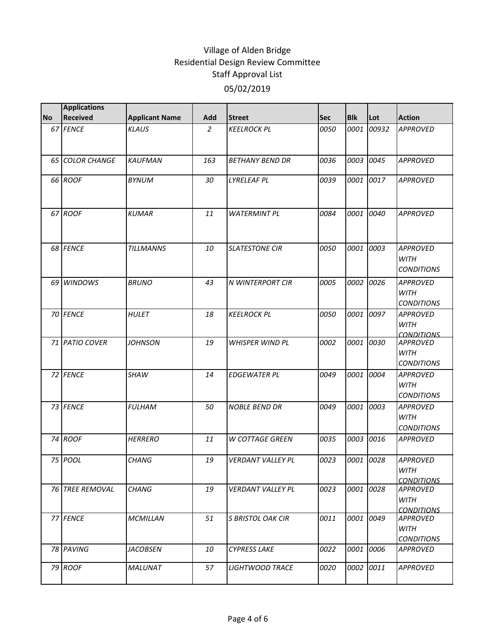|           | <b>Applications</b> |                       |                |                          |            |            |           |                                                     |
|-----------|---------------------|-----------------------|----------------|--------------------------|------------|------------|-----------|-----------------------------------------------------|
| <b>No</b> | Received            | <b>Applicant Name</b> | Add            | <b>Street</b>            | <b>Sec</b> | <b>Blk</b> | Lot       | <b>Action</b>                                       |
|           | 67 FENCE            | <b>KLAUS</b>          | $\overline{2}$ | <b>KEELROCK PL</b>       | 0050       | 0001       | 00932     | <b>APPROVED</b>                                     |
|           | 65 COLOR CHANGE     | <b>KAUFMAN</b>        | 163            | <b>BETHANY BEND DR</b>   | 0036       | 0003       | 0045      | <b>APPROVED</b>                                     |
|           | 66 ROOF             | <b>BYNUM</b>          | 30             | <b>LYRELEAF PL</b>       | 0039       | 0001       | 0017      | <b>APPROVED</b>                                     |
|           | 67 ROOF             | <b>KUMAR</b>          | 11             | <b>WATERMINT PL</b>      | 0084       | 0001       | 0040      | <b>APPROVED</b>                                     |
|           | 68 FENCE            | <b>TILLMANNS</b>      | 10             | <b>SLATESTONE CIR</b>    | 0050       | 0001       | 0003      | <b>APPROVED</b><br><b>WITH</b><br><b>CONDITIONS</b> |
|           | 69 WINDOWS          | <b>BRUNO</b>          | 43             | <b>N WINTERPORT CIR</b>  | 0005       | 0002       | 0026      | <b>APPROVED</b><br><b>WITH</b><br><b>CONDITIONS</b> |
|           | 70 FENCE            | <b>HULET</b>          | 18             | <b>KEELROCK PL</b>       | 0050       | 0001       | 0097      | <b>APPROVED</b><br><b>WITH</b><br><b>CONDITIONS</b> |
|           | 71 PATIO COVER      | <b>JOHNSON</b>        | 19             | <b>WHISPER WIND PL</b>   | 0002       | 0001       | 0030      | <b>APPROVED</b><br><b>WITH</b><br><b>CONDITIONS</b> |
|           | 72 FENCE            | <b>SHAW</b>           | 14             | <b>EDGEWATER PL</b>      | 0049       | 0001       | 0004      | <b>APPROVED</b><br><b>WITH</b><br><b>CONDITIONS</b> |
|           | 73 FENCE            | <b>FULHAM</b>         | 50             | <b>NOBLE BEND DR</b>     | 0049       | 0001       | 0003      | <b>APPROVED</b><br><b>WITH</b><br><b>CONDITIONS</b> |
|           | 74 ROOF             | <b>HERRERO</b>        | 11             | <b>W COTTAGE GREEN</b>   | 0035       | 0003       | 0016      | <b>APPROVED</b>                                     |
|           | 75 POOL             | <b>CHANG</b>          | 19             | <b>VERDANT VALLEY PL</b> | 0023       | 0001       | 0028      | <b>APPROVED</b><br><b>WITH</b><br><b>CONDITIONS</b> |
|           | 76 TREE REMOVAL     | <b>CHANG</b>          | 19             | <b>VERDANT VALLEY PL</b> | 0023       |            | 0001 0028 | <b>APPROVED</b><br><b>WITH</b><br><i>CONDITIONS</i> |
|           | 77 FENCE            | <b>MCMILLAN</b>       | 51             | <b>S BRISTOL OAK CIR</b> | 0011       |            | 0001 0049 | <b>APPROVED</b><br><b>WITH</b><br><b>CONDITIONS</b> |
|           | 78 PAVING           | <i>JACOBSEN</i>       | 10             | <b>CYPRESS LAKE</b>      | 0022       | 0001       | 0006      | <b>APPROVED</b>                                     |
|           | 79 ROOF             | <b>MALUNAT</b>        | 57             | <b>LIGHTWOOD TRACE</b>   | 0020       | 0002       | 0011      | <b>APPROVED</b>                                     |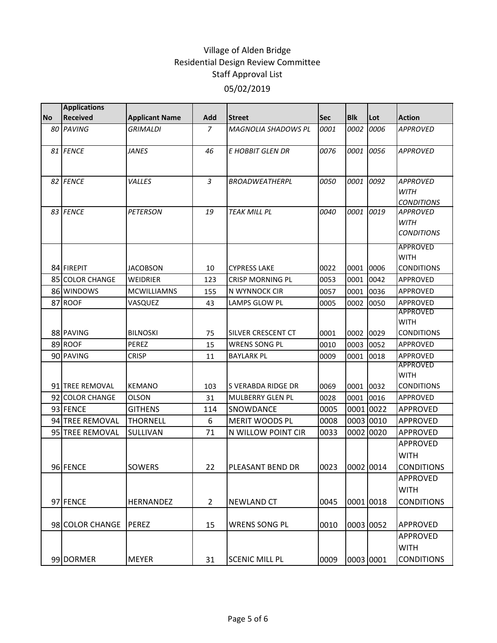|           | <b>Applications</b> |                       |                |                            |            |            |           |                                                     |
|-----------|---------------------|-----------------------|----------------|----------------------------|------------|------------|-----------|-----------------------------------------------------|
| <b>No</b> | <b>Received</b>     | <b>Applicant Name</b> | Add            | <b>Street</b>              | <b>Sec</b> | <b>Blk</b> | Lot       | <b>Action</b>                                       |
|           | 80 PAVING           | <b>GRIMALDI</b>       | 7              | <b>MAGNOLIA SHADOWS PL</b> | 0001       | 0002       | 0006      | <b>APPROVED</b>                                     |
|           | 81 FENCE            | <b>JANES</b>          | 46             | <b>E HOBBIT GLEN DR</b>    | 0076       | 0001       | 0056      | <b>APPROVED</b>                                     |
|           | 82 FENCE            | VALLES                | 3              | <b>BROADWEATHERPL</b>      | 0050       |            | 0001 0092 | <b>APPROVED</b><br><b>WITH</b><br><b>CONDITIONS</b> |
|           | 83 FENCE            | <b>PETERSON</b>       | 19             | <b>TEAK MILL PL</b>        | 0040       | 0001       | 0019      | <b>APPROVED</b><br><b>WITH</b><br><b>CONDITIONS</b> |
|           | 84 FIREPIT          | <b>JACOBSON</b>       | 10             | <b>CYPRESS LAKE</b>        | 0022       | 0001       | 0006      | <b>APPROVED</b><br><b>WITH</b><br><b>CONDITIONS</b> |
|           | 85 COLOR CHANGE     | WEIDRIER              | 123            | <b>CRISP MORNING PL</b>    | 0053       | 0001       | 0042      | APPROVED                                            |
|           | 86 WINDOWS          | <b>MCWILLIAMNS</b>    | 155            | N WYNNOCK CIR              | 0057       | 0001       | 0036      | APPROVED                                            |
|           | 87 ROOF             | VASQUEZ               | 43             | LAMPS GLOW PL              | 0005       | 0002       | 0050      | APPROVED                                            |
|           | 88 PAVING           | <b>BILNOSKI</b>       | 75             | <b>SILVER CRESCENT CT</b>  | 0001       | 0002 0029  |           | <b>APPROVED</b><br><b>WITH</b><br><b>CONDITIONS</b> |
|           | 89 ROOF             | PEREZ                 | 15             | <b>WRENS SONG PL</b>       | 0010       | 0003       | 0052      | APPROVED                                            |
|           | 90 PAVING           | CRISP                 | 11             | <b>BAYLARK PL</b>          | 0009       | 0001       | 0018      | APPROVED                                            |
|           | 91 TREE REMOVAL     | <b>KEMANO</b>         | 103            | S VERABDA RIDGE DR         | 0069       | 0001 0032  |           | <b>APPROVED</b><br><b>WITH</b><br><b>CONDITIONS</b> |
|           | 92 COLOR CHANGE     | OLSON                 | 31             | <b>MULBERRY GLEN PL</b>    | 0028       | 0001       | 0016      | APPROVED                                            |
|           | 93 FENCE            | <b>GITHENS</b>        | 114            | SNOWDANCE                  | 0005       |            | 0001 0022 | APPROVED                                            |
|           | 94 TREE REMOVAL     | <b>THORNELL</b>       | 6              | <b>MERIT WOODS PL</b>      | 0008       |            | 0003 0010 | <b>APPROVED</b>                                     |
|           | 95 TREE REMOVAL     | SULLIVAN              | 71             | N WILLOW POINT CIR         | 0033       |            | 0002 0020 | APPROVED                                            |
|           | 96 FENCE            | <b>SOWERS</b>         | 22             | PLEASANT BEND DR           | 0023       | 0002 0014  |           | APPROVED<br><b>WITH</b><br><b>CONDITIONS</b>        |
|           |                     |                       |                |                            |            |            |           | APPROVED<br><b>WITH</b>                             |
|           | 97 FENCE            | HERNANDEZ             | $\overline{2}$ | <b>NEWLAND CT</b>          | 0045       |            | 0001 0018 | <b>CONDITIONS</b>                                   |
|           | 98 COLOR CHANGE     | <b>PEREZ</b>          | 15             | <b>WRENS SONG PL</b>       | 0010       |            | 0003 0052 | <b>APPROVED</b>                                     |
|           | 99 DORMER           | <b>MEYER</b>          | 31             | <b>SCENIC MILL PL</b>      | 0009       |            | 0003 0001 | APPROVED<br><b>WITH</b><br><b>CONDITIONS</b>        |